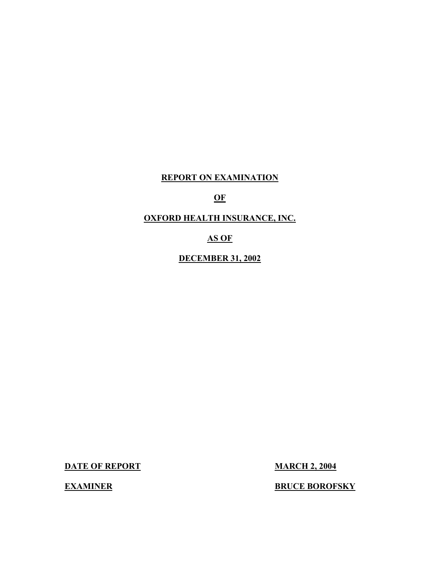# **REPORT ON EXAMINATION**

# **OF**

# **OXFORD HEALTH INSURANCE, INC.**

## **AS OF**

## **DECEMBER 31, 2002**

**DATE OF REPORT MARCH 2, 2004** 

**EXAMINER BOROFSKY**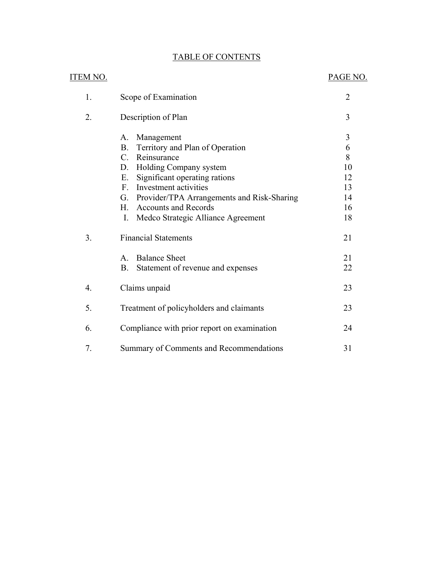# **TABLE OF CONTENTS**

|                  | <b>TABLE OF CONTENTS</b>                       |                |
|------------------|------------------------------------------------|----------------|
| <b>ITEM NO.</b>  |                                                | PAGE NO.       |
| 1.               | Scope of Examination                           | $\overline{2}$ |
| 2.               | Description of Plan                            | 3              |
|                  | Management<br>А.                               | 3              |
|                  | Territory and Plan of Operation<br><b>B.</b>   | 6              |
|                  | $\mathcal{C}$ .<br>Reinsurance                 | 8              |
|                  | Holding Company system<br>D.                   | 10             |
|                  | Significant operating rations<br>Ε.            | 12             |
|                  | F. Investment activities                       | 13             |
|                  | G. Provider/TPA Arrangements and Risk-Sharing  | 14             |
|                  | H. Accounts and Records                        | 16             |
|                  | Medco Strategic Alliance Agreement<br>I.       | 18             |
| 3.               | <b>Financial Statements</b>                    | 21             |
|                  | <b>Balance Sheet</b><br>$\mathsf{A}$           | 21             |
|                  | <b>B.</b><br>Statement of revenue and expenses | 22             |
| $\overline{4}$ . | Claims unpaid                                  | 23             |
| 5.               | Treatment of policyholders and claimants       | 23             |
| 6.               | Compliance with prior report on examination    | 24             |
| 7.               | Summary of Comments and Recommendations        | 31             |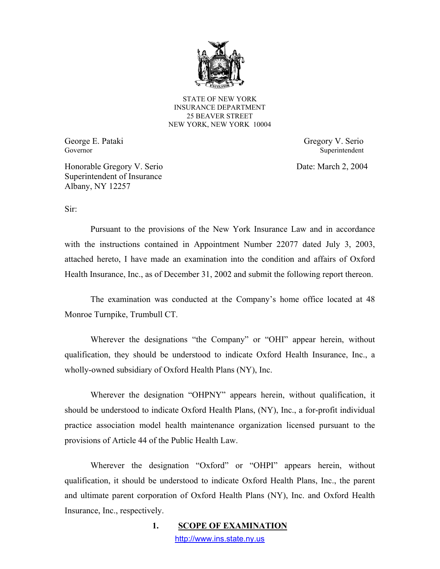

STATE OF NEW YORK INSURANCE DEPARTMENT 25 BEAVER STREET NEW YORK, NEW YORK 10004

George E. Pataki Governor

Gregory V. Serio Superintendent

Date: March 2, 2004

Honorable Gregory V. Serio Superintendent of Insurance Albany, NY 12257

Sir:

Pursuant to the provisions of the New York Insurance Law and in accordance with the instructions contained in Appointment Number 22077 dated July 3, 2003, attached hereto, I have made an examination into the condition and affairs of Oxford Health Insurance, Inc., as of December 31, 2002 and submit the following report thereon.

The examination was conducted at the Company's home office located at 48 Monroe Turnpike, Trumbull CT.

Wherever the designations "the Company" or "OHI" appear herein, without qualification, they should be understood to indicate Oxford Health Insurance, Inc., a wholly-owned subsidiary of Oxford Health Plans (NY), Inc.

Wherever the designation "OHPNY" appears herein, without qualification, it should be understood to indicate Oxford Health Plans, (NY), Inc., a for-profit individual practice association model health maintenance organization licensed pursuant to the provisions of Article 44 of the Public Health Law.

Wherever the designation "Oxford" or "OHPI" appears herein, without qualification, it should be understood to indicate Oxford Health Plans, Inc., the parent and ultimate parent corporation of Oxford Health Plans (NY), Inc. and Oxford Health Insurance, Inc., respectively.

> 1. **SCOPE OF EXAMINATION** <http://www.ins.state.ny.us>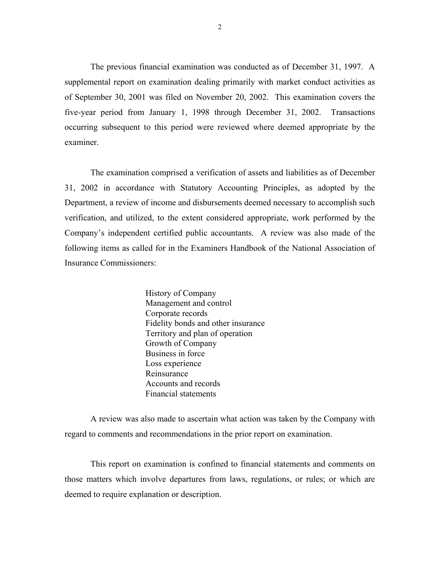The previous financial examination was conducted as of December 31, 1997. A supplemental report on examination dealing primarily with market conduct activities as of September 30, 2001 was filed on November 20, 2002. This examination covers the five-year period from January 1, 1998 through December 31, 2002. Transactions occurring subsequent to this period were reviewed where deemed appropriate by the examiner.

The examination comprised a verification of assets and liabilities as of December 31, 2002 in accordance with Statutory Accounting Principles, as adopted by the Department, a review of income and disbursements deemed necessary to accomplish such verification, and utilized, to the extent considered appropriate, work performed by the Company's independent certified public accountants. A review was also made of the following items as called for in the Examiners Handbook of the National Association of Insurance Commissioners:

> History of Company Management and control Corporate records Fidelity bonds and other insurance Territory and plan of operation Growth of Company Business in force Loss experience Reinsurance Accounts and records Financial statements

A review was also made to ascertain what action was taken by the Company with regard to comments and recommendations in the prior report on examination.

This report on examination is confined to financial statements and comments on those matters which involve departures from laws, regulations, or rules; or which are deemed to require explanation or description.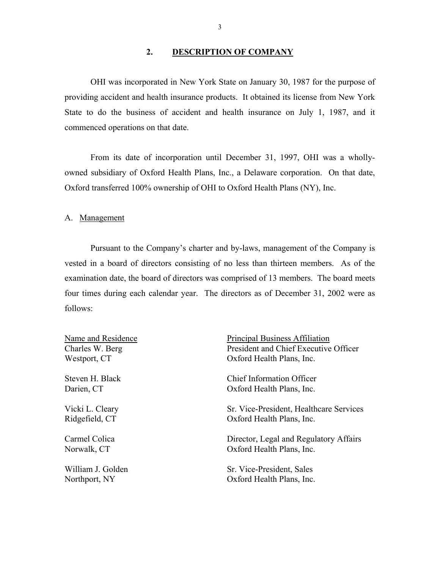#### **2. DESCRIPTION OF COMPANY**

<span id="page-4-0"></span>OHI was incorporated in New York State on January 30, 1987 for the purpose of providing accident and health insurance products. It obtained its license from New York State to do the business of accident and health insurance on July 1, 1987, and it commenced operations on that date.

From its date of incorporation until December 31, 1997, OHI was a whollyowned subsidiary of Oxford Health Plans, Inc., a Delaware corporation. On that date, Oxford transferred 100% ownership of OHI to Oxford Health Plans (NY), Inc.

A. Management

Pursuant to the Company's charter and by-laws, management of the Company is vested in a board of directors consisting of no less than thirteen members. As of the examination date, the board of directors was comprised of 13 members. The board meets four times during each calendar year. The directors as of December 31, 2002 were as follows:

| Name and Residence | Principal Business Affiliation          |
|--------------------|-----------------------------------------|
| Charles W. Berg    | President and Chief Executive Officer   |
| Westport, CT       | Oxford Health Plans, Inc.               |
| Steven H. Black    | <b>Chief Information Officer</b>        |
| Darien, CT         | Oxford Health Plans, Inc.               |
| Vicki L. Cleary    | Sr. Vice-President, Healthcare Services |
| Ridgefield, CT     | Oxford Health Plans, Inc.               |
| Carmel Colica      | Director, Legal and Regulatory Affairs  |
| Norwalk, CT        | Oxford Health Plans, Inc.               |
| William J. Golden  | Sr. Vice-President, Sales               |
| Northport, NY      | Oxford Health Plans, Inc.               |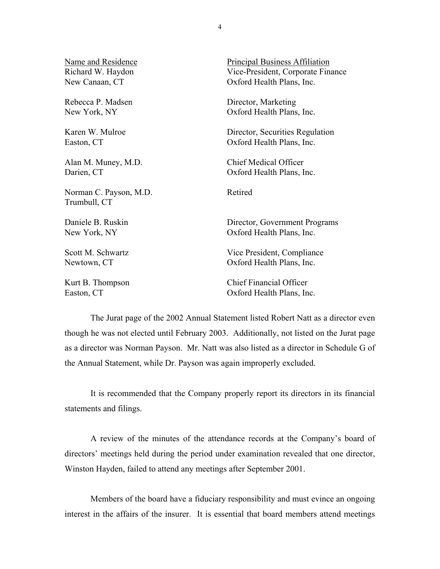Name and Residence Principal Business Affiliation Richard W. Haydon Vice-President, Corporate Finance New Canaan, CT Oxford Health Plans, Inc. Rebecca P. Madsen Director, Marketing New York, NY Case of Case of Case of Case of Health Plans, Inc. Karen W. Mulroe Director, Securities Regulation Easton, CT Oxford Health Plans, Inc. Alan M. Muney, M.D. Chief Medical Officer Darien, CT Oxford Health Plans, Inc. Norman C. Payson, M.D. Retired Trumbull, CT Daniele B. Ruskin Director, Government Programs New York, NY Case of Case Contract Contract Oxford Health Plans, Inc. Scott M. Schwartz Vice President, Compliance Newtown, CT Oxford Health Plans, Inc. Kurt B. Thompson Chief Financial Officer Easton, CT Oxford Health Plans, Inc.

The Jurat page of the 2002 Annual Statement listed Robert Natt as a director even though he was not elected until February 2003. Additionally, not listed on the Jurat page as a director was Norman Payson. Mr. Natt was also listed as a director in Schedule G of the Annual Statement, while Dr. Payson was again improperly excluded.

It is recommended that the Company properly report its directors in its financial statements and filings.

A review of the minutes of the attendance records at the Company's board of directors' meetings held during the period under examination revealed that one director, Winston Hayden, failed to attend any meetings after September 2001.

Members of the board have a fiduciary responsibility and must evince an ongoing interest in the affairs of the insurer. It is essential that board members attend meetings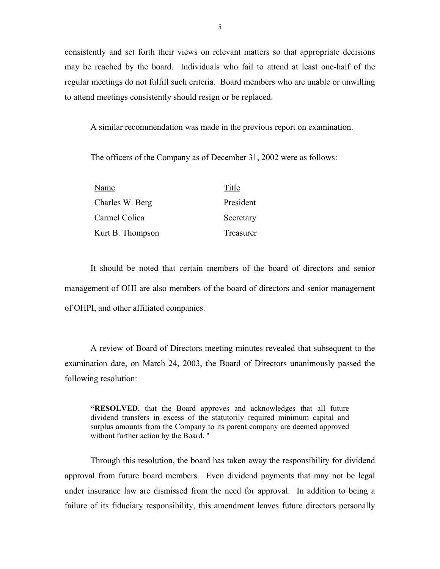consistently and set forth their views on relevant matters so that appropriate decisions may be reached by the board. Individuals who fail to attend at least one-half of the regular meetings do not fulfill such criteria. Board members who are unable or unwilling to attend meetings consistently should resign or be replaced.

A similar recommendation was made in the previous report on examination.

The officers of the Company as of December 31, 2002 were as follows:

| Name             | Title     |
|------------------|-----------|
| Charles W. Berg  | President |
| Carmel Colica    | Secretary |
| Kurt B. Thompson | Treasurer |

It should be noted that certain members of the board of directors and senior management of OHI are also members of the board of directors and senior management of OHPI, and other affiliated companies.

A review of Board of Directors meeting minutes revealed that subsequent to the examination date, on March 24, 2003, the Board of Directors unanimously passed the following resolution:

**"RESOLVED**, that the Board approves and acknowledges that all future dividend transfers in excess of the statutorily required minimum capital and surplus amounts from the Company to its parent company are deemed approved without further action by the Board. "

Through this resolution, the board has taken away the responsibility for dividend approval from future board members. Even dividend payments that may not be legal under insurance law are dismissed from the need for approval. In addition to being a failure of its fiduciary responsibility, this amendment leaves future directors personally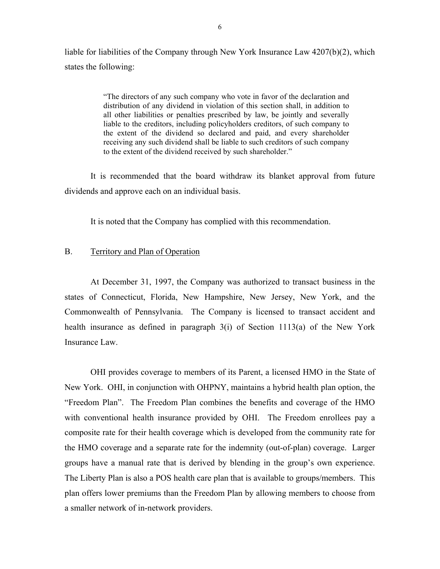<span id="page-7-0"></span>liable for liabilities of the Company through New York Insurance Law 4207(b)(2), which states the following:

> "The directors of any such company who vote in favor of the declaration and distribution of any dividend in violation of this section shall, in addition to all other liabilities or penalties prescribed by law, be jointly and severally liable to the creditors, including policyholders creditors, of such company to the extent of the dividend so declared and paid, and every shareholder receiving any such dividend shall be liable to such creditors of such company to the extent of the dividend received by such shareholder."

It is recommended that the board withdraw its blanket approval from future dividends and approve each on an individual basis.

It is noted that the Company has complied with this recommendation.

#### B. Territory and Plan of Operation

At December 31, 1997, the Company was authorized to transact business in the states of Connecticut, Florida, New Hampshire, New Jersey, New York, and the Commonwealth of Pennsylvania. The Company is licensed to transact accident and health insurance as defined in paragraph 3(i) of Section 1113(a) of the New York Insurance Law.

OHI provides coverage to members of its Parent, a licensed HMO in the State of New York. OHI, in conjunction with OHPNY, maintains a hybrid health plan option, the "Freedom Plan". The Freedom Plan combines the benefits and coverage of the HMO with conventional health insurance provided by OHI. The Freedom enrollees pay a composite rate for their health coverage which is developed from the community rate for the HMO coverage and a separate rate for the indemnity (out-of-plan) coverage. Larger groups have a manual rate that is derived by blending in the group's own experience. The Liberty Plan is also a POS health care plan that is available to groups/members. This plan offers lower premiums than the Freedom Plan by allowing members to choose from a smaller network of in-network providers.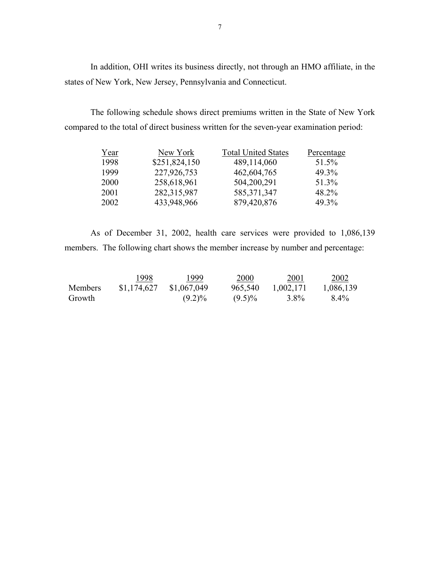In addition, OHI writes its business directly, not through an HMO affiliate, in the states of New York, New Jersey, Pennsylvania and Connecticut.

The following schedule shows direct premiums written in the State of New York compared to the total of direct business written for the seven-year examination period:

| Year        | New York      | <b>Total United States</b> | Percentage |
|-------------|---------------|----------------------------|------------|
| 1998        | \$251,824,150 | 489,114,060                | 51.5%      |
| 1999        | 227,926,753   | 462,604,765                | 49.3%      |
| <b>2000</b> | 258,618,961   | 504,200,291                | 51.3%      |
| 2001        | 282,315,987   | 585, 371, 347              | 48.2%      |
| 2002        | 433,948,966   | 879,420,876                | 49.3%      |

As of December 31, 2002, health care services were provided to 1,086,139 members. The following chart shows the member increase by number and percentage:

|                | 1998        | 1999        | 2000      | 2001      | 2002      |
|----------------|-------------|-------------|-----------|-----------|-----------|
| <b>Members</b> | \$1,174,627 | \$1,067,049 | 965,540   | 1,002,171 | 1,086,139 |
| Growth         |             | $(9.2)\%$   | $(9.5)\%$ | 3.8%      | 8.4%      |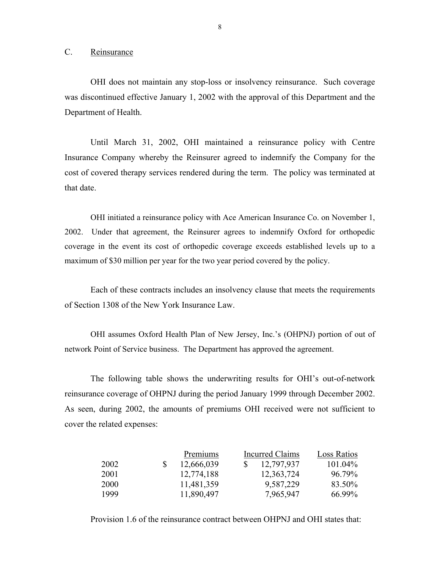C. Reinsurance

OHI does not maintain any stop-loss or insolvency reinsurance. Such coverage was discontinued effective January 1, 2002 with the approval of this Department and the Department of Health.

Until March 31, 2002, OHI maintained a reinsurance policy with Centre Insurance Company whereby the Reinsurer agreed to indemnify the Company for the cost of covered therapy services rendered during the term. The policy was terminated at that date.

OHI initiated a reinsurance policy with Ace American Insurance Co. on November 1, 2002. Under that agreement, the Reinsurer agrees to indemnify Oxford for orthopedic coverage in the event its cost of orthopedic coverage exceeds established levels up to a maximum of \$30 million per year for the two year period covered by the policy.

Each of these contracts includes an insolvency clause that meets the requirements of Section 1308 of the New York Insurance Law.

OHI assumes Oxford Health Plan of New Jersey, Inc.'s (OHPNJ) portion of out of network Point of Service business. The Department has approved the agreement.

The following table shows the underwriting results for OHI's out-of-network reinsurance coverage of OHPNJ during the period January 1999 through December 2002. As seen, during 2002, the amounts of premiums OHI received were not sufficient to cover the related expenses:

|             | Premiums   | Incurred Claims | Loss Ratios |         |
|-------------|------------|-----------------|-------------|---------|
| 2002        | 12,666,039 |                 | 12,797,937  | 101.04% |
| 2001        | 12,774,188 |                 | 12,363,724  | 96.79%  |
| <b>2000</b> | 11,481,359 |                 | 9,587,229   | 83.50%  |
| 1999        | 11,890,497 |                 | 7,965,947   | 66.99%  |

Provision 1.6 of the reinsurance contract between OHPNJ and OHI states that: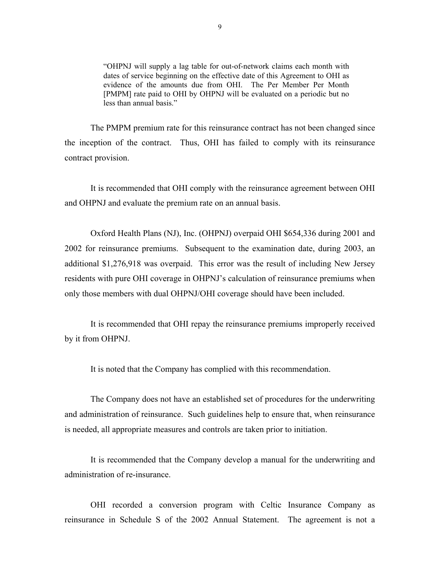"OHPNJ will supply a lag table for out-of-network claims each month with dates of service beginning on the effective date of this Agreement to OHI as evidence of the amounts due from OHI. The Per Member Per Month [PMPM] rate paid to OHI by OHPNJ will be evaluated on a periodic but no less than annual basis."

The PMPM premium rate for this reinsurance contract has not been changed since the inception of the contract. Thus, OHI has failed to comply with its reinsurance contract provision.

It is recommended that OHI comply with the reinsurance agreement between OHI and OHPNJ and evaluate the premium rate on an annual basis.

Oxford Health Plans (NJ), Inc. (OHPNJ) overpaid OHI \$654,336 during 2001 and 2002 for reinsurance premiums. Subsequent to the examination date, during 2003, an additional \$1,276,918 was overpaid. This error was the result of including New Jersey residents with pure OHI coverage in OHPNJ's calculation of reinsurance premiums when only those members with dual OHPNJ/OHI coverage should have been included.

It is recommended that OHI repay the reinsurance premiums improperly received by it from OHPNJ.

It is noted that the Company has complied with this recommendation.

The Company does not have an established set of procedures for the underwriting and administration of reinsurance. Such guidelines help to ensure that, when reinsurance is needed, all appropriate measures and controls are taken prior to initiation.

It is recommended that the Company develop a manual for the underwriting and administration of re-insurance.

OHI recorded a conversion program with Celtic Insurance Company as reinsurance in Schedule S of the 2002 Annual Statement. The agreement is not a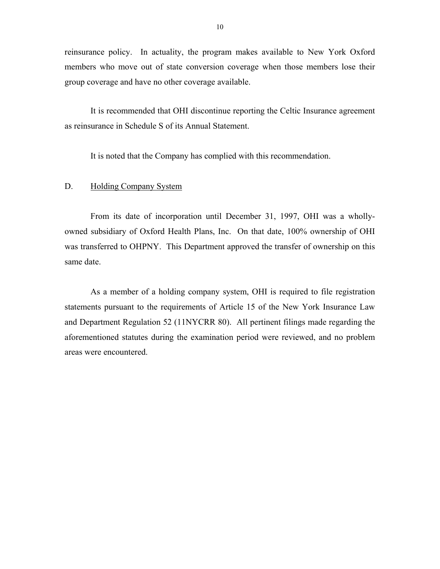<span id="page-11-0"></span>reinsurance policy. In actuality, the program makes available to New York Oxford members who move out of state conversion coverage when those members lose their group coverage and have no other coverage available.

It is recommended that OHI discontinue reporting the Celtic Insurance agreement as reinsurance in Schedule S of its Annual Statement.

It is noted that the Company has complied with this recommendation.

#### D. Holding Company System

From its date of incorporation until December 31, 1997, OHI was a whollyowned subsidiary of Oxford Health Plans, Inc. On that date, 100% ownership of OHI was transferred to OHPNY. This Department approved the transfer of ownership on this same date.

As a member of a holding company system, OHI is required to file registration statements pursuant to the requirements of Article 15 of the New York Insurance Law and Department Regulation 52 (11NYCRR 80). All pertinent filings made regarding the aforementioned statutes during the examination period were reviewed, and no problem areas were encountered.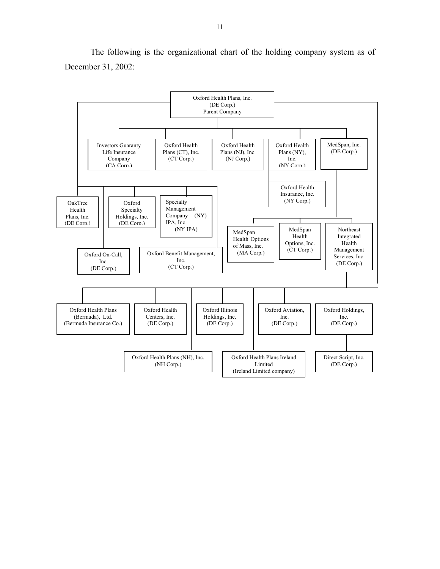

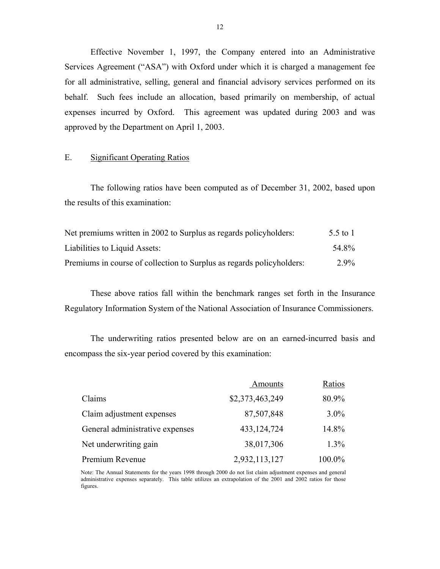Effective November 1, 1997, the Company entered into an Administrative Services Agreement ("ASA") with Oxford under which it is charged a management fee for all administrative, selling, general and financial advisory services performed on its behalf. Such fees include an allocation, based primarily on membership, of actual expenses incurred by Oxford. This agreement was updated during 2003 and was approved by the Department on April 1, 2003.

#### E. Significant Operating Ratios

The following ratios have been computed as of December 31, 2002, based upon the results of this examination:

| Net premiums written in 2002 to Surplus as regards policyholders:     | 5.5 to 1 |
|-----------------------------------------------------------------------|----------|
| Liabilities to Liquid Assets:                                         | 54 8%    |
| Premiums in course of collection to Surplus as regards policyholders: | 2.9%     |

These above ratios fall within the benchmark ranges set forth in the Insurance Regulatory Information System of the National Association of Insurance Commissioners.

The underwriting ratios presented below are on an earned-incurred basis and encompass the six-year period covered by this examination:

|                                 | Amounts         | Ratios  |
|---------------------------------|-----------------|---------|
| Claims                          | \$2,373,463,249 | 80.9%   |
| Claim adjustment expenses       | 87,507,848      | $3.0\%$ |
| General administrative expenses | 433, 124, 724   | 14.8%   |
| Net underwriting gain           | 38,017,306      | $1.3\%$ |
| Premium Revenue                 | 2,932,113,127   | 100.0%  |

Note: The Annual Statements for the years 1998 through 2000 do not list claim adjustment expenses and general administrative expenses separately. This table utilizes an extrapolation of the 2001 and 2002 ratios for those figures.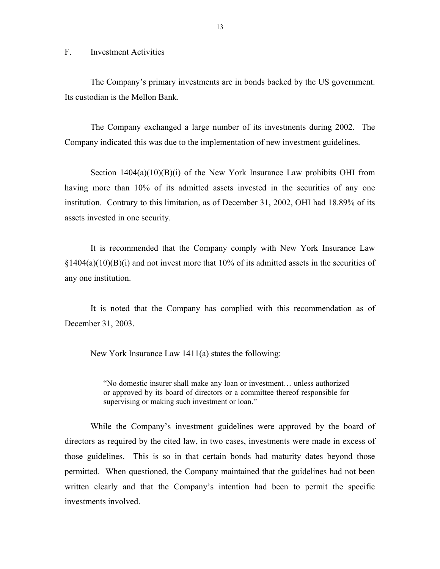#### <span id="page-14-0"></span>F. Investment Activities

The Company's primary investments are in bonds backed by the US government. Its custodian is the Mellon Bank.

The Company exchanged a large number of its investments during 2002. The Company indicated this was due to the implementation of new investment guidelines.

Section  $1404(a)(10)(B)(i)$  of the New York Insurance Law prohibits OHI from having more than 10% of its admitted assets invested in the securities of any one institution. Contrary to this limitation, as of December 31, 2002, OHI had 18.89% of its assets invested in one security.

It is recommended that the Company comply with New York Insurance Law  $\S1404(a)(10)(B)(i)$  and not invest more that 10% of its admitted assets in the securities of any one institution.

It is noted that the Company has complied with this recommendation as of December 31, 2003.

New York Insurance Law 1411(a) states the following:

"No domestic insurer shall make any loan or investment… unless authorized or approved by its board of directors or a committee thereof responsible for supervising or making such investment or loan."

While the Company's investment guidelines were approved by the board of directors as required by the cited law, in two cases, investments were made in excess of those guidelines. This is so in that certain bonds had maturity dates beyond those permitted. When questioned, the Company maintained that the guidelines had not been written clearly and that the Company's intention had been to permit the specific investments involved.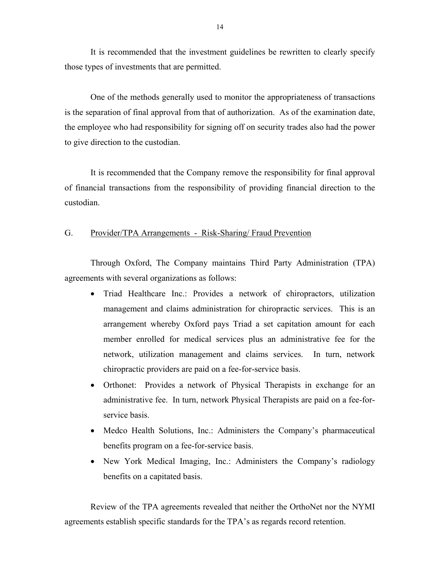<span id="page-15-0"></span>It is recommended that the investment guidelines be rewritten to clearly specify those types of investments that are permitted.

One of the methods generally used to monitor the appropriateness of transactions is the separation of final approval from that of authorization. As of the examination date, the employee who had responsibility for signing off on security trades also had the power to give direction to the custodian.

It is recommended that the Company remove the responsibility for final approval of financial transactions from the responsibility of providing financial direction to the custodian.

#### G. Provider/TPA Arrangements - Risk-Sharing/ Fraud Prevention

Through Oxford, The Company maintains Third Party Administration (TPA) agreements with several organizations as follows:

- Triad Healthcare Inc.: Provides a network of chiropractors, utilization management and claims administration for chiropractic services. This is an arrangement whereby Oxford pays Triad a set capitation amount for each member enrolled for medical services plus an administrative fee for the network, utilization management and claims services. In turn, network chiropractic providers are paid on a fee-for-service basis.
- Orthonet: Provides a network of Physical Therapists in exchange for an administrative fee. In turn, network Physical Therapists are paid on a fee-forservice basis.
- Medco Health Solutions, Inc.: Administers the Company's pharmaceutical benefits program on a fee-for-service basis.
- New York Medical Imaging, Inc.: Administers the Company's radiology benefits on a capitated basis.

Review of the TPA agreements revealed that neither the OrthoNet nor the NYMI agreements establish specific standards for the TPA's as regards record retention.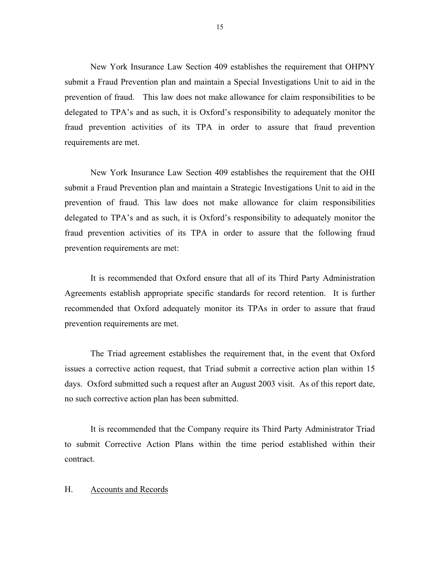requirements are met. New York Insurance Law Section 409 establishes the requirement that OHPNY submit a Fraud Prevention plan and maintain a Special Investigations Unit to aid in the prevention of fraud. This law does not make allowance for claim responsibilities to be delegated to TPA's and as such, it is Oxford's responsibility to adequately monitor the fraud prevention activities of its TPA in order to assure that fraud prevention

New York Insurance Law Section 409 establishes the requirement that the OHI submit a Fraud Prevention plan and maintain a Strategic Investigations Unit to aid in the prevention of fraud. This law does not make allowance for claim responsibilities delegated to TPA's and as such, it is Oxford's responsibility to adequately monitor the fraud prevention activities of its TPA in order to assure that the following fraud prevention requirements are met:

It is recommended that Oxford ensure that all of its Third Party Administration Agreements establish appropriate specific standards for record retention. It is further recommended that Oxford adequately monitor its TPAs in order to assure that fraud prevention requirements are met.

The Triad agreement establishes the requirement that, in the event that Oxford issues a corrective action request, that Triad submit a corrective action plan within 15 days. Oxford submitted such a request after an August 2003 visit. As of this report date, no such corrective action plan has been submitted.

It is recommended that the Company require its Third Party Administrator Triad to submit Corrective Action Plans within the time period established within their contract.

#### H. Accounts and Records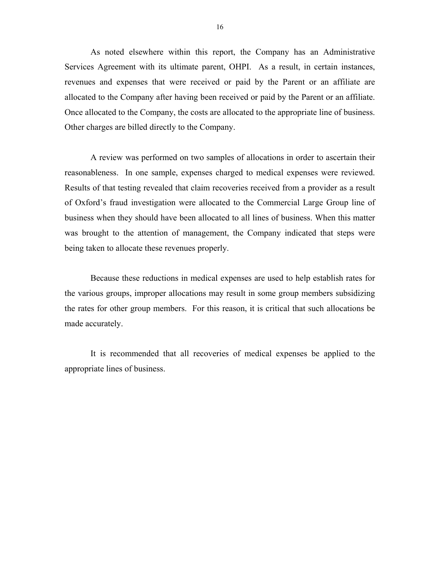<span id="page-17-0"></span>As noted elsewhere within this report, the Company has an Administrative Services Agreement with its ultimate parent, OHPI. As a result, in certain instances, revenues and expenses that were received or paid by the Parent or an affiliate are allocated to the Company after having been received or paid by the Parent or an affiliate. Once allocated to the Company, the costs are allocated to the appropriate line of business. Other charges are billed directly to the Company.

A review was performed on two samples of allocations in order to ascertain their reasonableness. In one sample, expenses charged to medical expenses were reviewed. Results of that testing revealed that claim recoveries received from a provider as a result of Oxford's fraud investigation were allocated to the Commercial Large Group line of business when they should have been allocated to all lines of business. When this matter was brought to the attention of management, the Company indicated that steps were being taken to allocate these revenues properly.

Because these reductions in medical expenses are used to help establish rates for the various groups, improper allocations may result in some group members subsidizing the rates for other group members. For this reason, it is critical that such allocations be made accurately.

It is recommended that all recoveries of medical expenses be applied to the appropriate lines of business.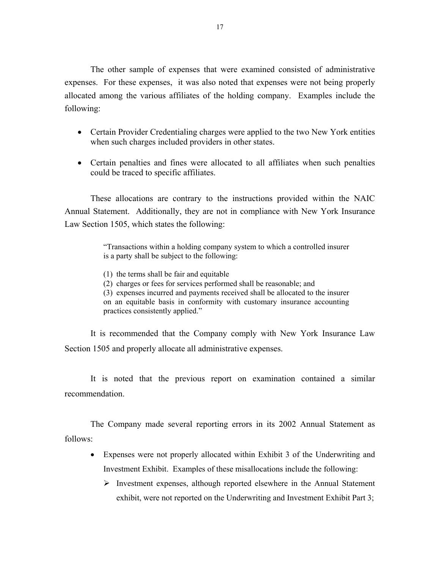The other sample of expenses that were examined consisted of administrative expenses. For these expenses, it was also noted that expenses were not being properly allocated among the various affiliates of the holding company. Examples include the following:

- Certain Provider Credentialing charges were applied to the two New York entities when such charges included providers in other states.
- Certain penalties and fines were allocated to all affiliates when such penalties could be traced to specific affiliates.

These allocations are contrary to the instructions provided within the NAIC Annual Statement. Additionally, they are not in compliance with New York Insurance Law Section 1505, which states the following:

> "Transactions within a holding company system to which a controlled insurer is a party shall be subject to the following:

- (1) the terms shall be fair and equitable
- (2) charges or fees for services performed shall be reasonable; and
- (3) expenses incurred and payments received shall be allocated to the insurer on an equitable basis in conformity with customary insurance accounting practices consistently applied."

It is recommended that the Company comply with New York Insurance Law Section 1505 and properly allocate all administrative expenses.

It is noted that the previous report on examination contained a similar recommendation.

The Company made several reporting errors in its 2002 Annual Statement as follows:

- Expenses were not properly allocated within Exhibit 3 of the Underwriting and Investment Exhibit. Examples of these misallocations include the following:
	- $\triangleright$  Investment expenses, although reported elsewhere in the Annual Statement exhibit, were not reported on the Underwriting and Investment Exhibit Part 3;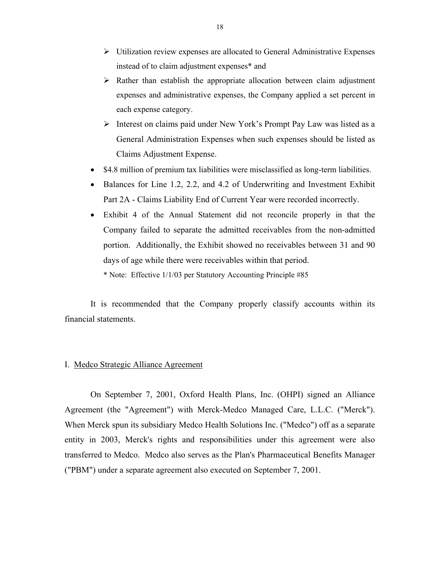- <span id="page-19-0"></span> $\triangleright$  Utilization review expenses are allocated to General Administrative Expenses instead of to claim adjustment expenses\* and
- $\triangleright$  Rather than establish the appropriate allocation between claim adjustment expenses and administrative expenses, the Company applied a set percent in each expense category.
- ¾ Interest on claims paid under New York's Prompt Pay Law was listed as a General Administration Expenses when such expenses should be listed as Claims Adjustment Expense.
- \$4.8 million of premium tax liabilities were misclassified as long-term liabilities.
- Balances for Line 1.2, 2.2, and 4.2 of Underwriting and Investment Exhibit Part 2A - Claims Liability End of Current Year were recorded incorrectly.
- Exhibit 4 of the Annual Statement did not reconcile properly in that the Company failed to separate the admitted receivables from the non-admitted portion. Additionally, the Exhibit showed no receivables between 31 and 90 days of age while there were receivables within that period.
	- \* Note: Effective 1/1/03 per Statutory Accounting Principle #85

It is recommended that the Company properly classify accounts within its financial statements.

#### I. Medco Strategic Alliance Agreement

On September 7, 2001, Oxford Health Plans, Inc. (OHPI) signed an Alliance Agreement (the "Agreement") with Merck-Medco Managed Care, L.L.C. ("Merck"). When Merck spun its subsidiary Medco Health Solutions Inc. ("Medco") off as a separate entity in 2003, Merck's rights and responsibilities under this agreement were also transferred to Medco. Medco also serves as the Plan's Pharmaceutical Benefits Manager ("PBM") under a separate agreement also executed on September 7, 2001.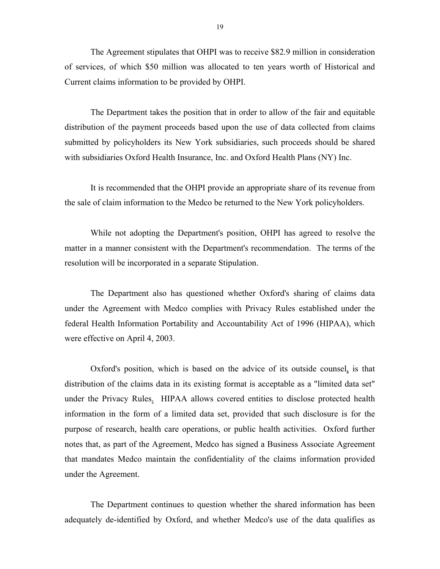The Agreement stipulates that OHPI was to receive \$82.9 million in consideration of services, of which \$50 million was allocated to ten years worth of Historical and Current claims information to be provided by OHPI.

The Department takes the position that in order to allow of the fair and equitable distribution of the payment proceeds based upon the use of data collected from claims submitted by policyholders its New York subsidiaries, such proceeds should be shared with subsidiaries Oxford Health Insurance, Inc. and Oxford Health Plans (NY) Inc.

It is recommended that the OHPI provide an appropriate share of its revenue from the sale of claim information to the Medco be returned to the New York policyholders.

While not adopting the Department's position, OHPI has agreed to resolve the matter in a manner consistent with the Department's recommendation. The terms of the resolution will be incorporated in a separate Stipulation.

The Department also has questioned whether Oxford's sharing of claims data under the Agreement with Medco complies with Privacy Rules established under the federal Health Information Portability and Accountability Act of 1996 (HIPAA), which were effective on April 4, 2003.

Oxford's position, which is based on the advice of its outside counsel, is that distribution of the claims data in its existing format is acceptable as a "limited data set" under the Privacy Rules. HIPAA allows covered entities to disclose protected health information in the form of a limited data set, provided that such disclosure is for the purpose of research, health care operations, or public health activities. Oxford further notes that, as part of the Agreement, Medco has signed a Business Associate Agreement that mandates Medco maintain the confidentiality of the claims information provided under the Agreement.

The Department continues to question whether the shared information has been adequately de-identified by Oxford, and whether Medco's use of the data qualifies as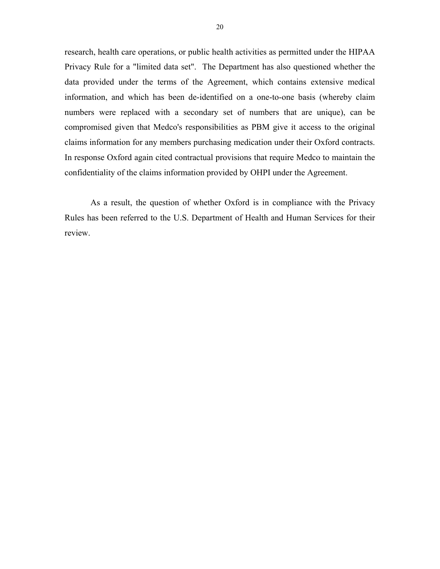research, health care operations, or public health activities as permitted under the HIPAA Privacy Rule for a "limited data set". The Department has also questioned whether the data provided under the terms of the Agreement, which contains extensive medical information, and which has been de-identified on a one-to-one basis (whereby claim numbers were replaced with a secondary set of numbers that are unique), can be compromised given that Medco's responsibilities as PBM give it access to the original claims information for any members purchasing medication under their Oxford contracts. In response Oxford again cited contractual provisions that require Medco to maintain the confidentiality of the claims information provided by OHPI under the Agreement.

As a result, the question of whether Oxford is in compliance with the Privacy Rules has been referred to the U.S. Department of Health and Human Services for their review.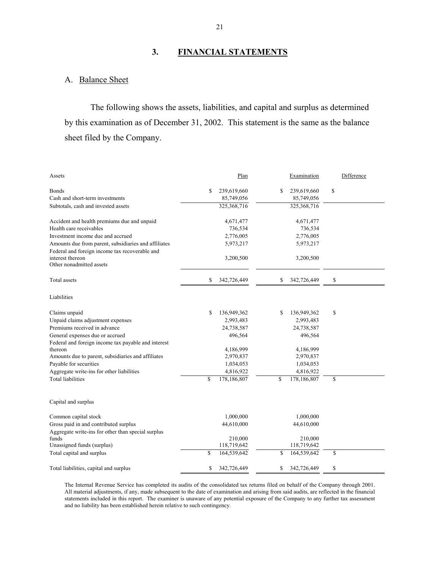## **3. FINANCIAL STATEMENTS**

## A. Balance Sheet

The following shows the assets, liabilities, and capital and surplus as determined by this examination as of December 31, 2002. This statement is the same as the balance sheet filed by the Company.

| Assets                                                                                                 | Plan              | Examination       | Difference |
|--------------------------------------------------------------------------------------------------------|-------------------|-------------------|------------|
| Bonds                                                                                                  | \$<br>239,619,660 | \$<br>239,619,660 | \$         |
| Cash and short-term investments                                                                        | 85,749,056        | 85,749,056        |            |
| Subtotals, cash and invested assets                                                                    | 325,368,716       | 325,368,716       |            |
| Accident and health premiums due and unpaid                                                            | 4,671,477         | 4,671,477         |            |
| Health care receivables                                                                                | 736,534           | 736,534           |            |
| Investment income due and accrued                                                                      | 2,776,005         | 2,776,005         |            |
| Amounts due from parent, subsidiaries and affiliates<br>Federal and foreign income tax recoverable and | 5,973,217         | 5,973,217         |            |
| interest thereon<br>Other nonadmitted assets                                                           | 3,200,500         | 3,200,500         |            |
| Total assets                                                                                           | \$<br>342,726,449 | \$<br>342,726,449 | \$         |
| Liabilities                                                                                            |                   |                   |            |
| Claims unpaid                                                                                          | \$<br>136,949,362 | \$<br>136,949,362 | \$         |
| Unpaid claims adjustment expenses                                                                      | 2,993,483         | 2,993,483         |            |
| Premiums received in advance                                                                           | 24,738,587        | 24,738,587        |            |
| General expenses due or accrued                                                                        | 496,564           | 496,564           |            |
| Federal and foreign income tax payable and interest                                                    |                   |                   |            |
| thereon                                                                                                | 4,186,999         | 4,186,999         |            |
| Amounts due to parent, subsidiaries and affiliates                                                     | 2,970,837         | 2,970,837         |            |
| Payable for securities                                                                                 | 1,034,053         | 1,034,053         |            |
| Aggregate write-ins for other liabilities                                                              | 4,816,922         | 4,816,922         |            |
| <b>Total liabilities</b>                                                                               | \$<br>178,186,807 | \$<br>178,186,807 | \$         |
| Capital and surplus                                                                                    |                   |                   |            |
| Common capital stock                                                                                   | 1,000,000         | 1,000,000         |            |
| Gross paid in and contributed surplus                                                                  | 44,610,000        | 44,610,000        |            |
| Aggregate write-ins for other than special surplus                                                     |                   |                   |            |
| funds                                                                                                  | 210,000           | 210,000           |            |
| Unassigned funds (surplus)                                                                             | 118,719,642       | 118,719,642       |            |
| Total capital and surplus                                                                              | \$<br>164,539,642 | \$<br>164,539,642 | \$         |
| Total liabilities, capital and surplus                                                                 | \$<br>342,726,449 | \$<br>342,726,449 | \$         |

The Internal Revenue Service has completed its audits of the consolidated tax returns filed on behalf of the Company through 2001. All material adjustments, if any, made subsequent to the date of examination and arising from said audits, are reflected in the financial statements included in this report. The examiner is unaware of any potential exposure of the Company to any further tax assessment and no liability has been established herein relative to such contingency.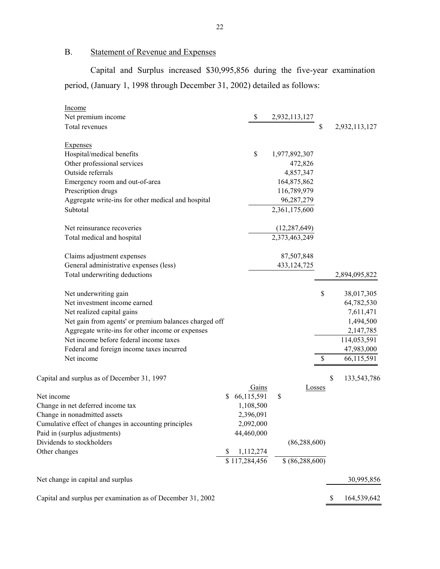B. Statement of Revenue and Expenses

Capital and Surplus increased \$30,995,856 during the five-year examination period, (January 1, 1998 through December 31, 2002) detailed as follows:

| Income                                                |                  |               |                   |        |                   |
|-------------------------------------------------------|------------------|---------------|-------------------|--------|-------------------|
| Net premium income                                    |                  | \$            | 2,932,113,127     |        |                   |
| Total revenues                                        |                  |               |                   | \$     | 2,932,113,127     |
| <b>Expenses</b>                                       |                  |               |                   |        |                   |
| Hospital/medical benefits                             |                  | $\mathsf{\$}$ | 1,977,892,307     |        |                   |
| Other professional services                           |                  |               | 472,826           |        |                   |
| Outside referrals                                     |                  |               | 4,857,347         |        |                   |
| Emergency room and out-of-area                        |                  |               | 164,875,862       |        |                   |
| Prescription drugs                                    |                  |               | 116,789,979       |        |                   |
| Aggregate write-ins for other medical and hospital    |                  |               | 96,287,279        |        |                   |
| Subtotal                                              |                  |               | 2,361,175,600     |        |                   |
| Net reinsurance recoveries                            |                  |               | (12, 287, 649)    |        |                   |
| Total medical and hospital                            |                  |               | 2,373,463,249     |        |                   |
| Claims adjustment expenses                            |                  |               | 87,507,848        |        |                   |
| General administrative expenses (less)                |                  |               | 433, 124, 725     |        |                   |
| Total underwriting deductions                         |                  |               |                   |        | 2,894,095,822     |
| Net underwriting gain                                 |                  |               |                   |        | \$<br>38,017,305  |
| Net investment income earned                          |                  |               |                   |        | 64,782,530        |
| Net realized capital gains                            |                  |               |                   |        | 7,611,471         |
| Net gain from agents' or premium balances charged off |                  |               |                   |        | 1,494,500         |
| Aggregate write-ins for other income or expenses      |                  |               |                   |        | 2,147,785         |
| Net income before federal income taxes                |                  |               |                   |        | 114,053,591       |
| Federal and foreign income taxes incurred             |                  |               |                   |        | 47,983,000        |
| Net income                                            |                  |               |                   |        | \$<br>66,115,591  |
| Capital and surplus as of December 31, 1997           |                  |               |                   |        | \$<br>133,543,786 |
|                                                       |                  | Gains         |                   | Losses |                   |
| Net income                                            | \$<br>66,115,591 |               | \$                |        |                   |
| Change in net deferred income tax                     | 1,108,500        |               |                   |        |                   |
| Change in nonadmitted assets                          | 2,396,091        |               |                   |        |                   |
| Cumulative effect of changes in accounting principles | 2,092,000        |               |                   |        |                   |
| Paid in (surplus adjustments)                         | 44,460,000       |               |                   |        |                   |
| Dividends to stockholders                             |                  |               | (86, 288, 600)    |        |                   |
| Other changes                                         | 1,112,274        |               |                   |        |                   |
|                                                       | \$117,284,456    |               | \$ (86, 288, 600) |        |                   |
| Net change in capital and surplus                     |                  |               |                   |        | 30,995,856        |

Capital and surplus per examination as of December 31, 2002 \$ 164,539,642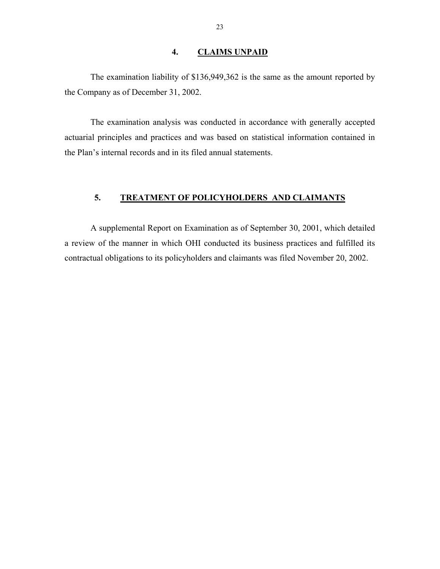#### **4. CLAIMS UNPAID**

<span id="page-24-0"></span>The examination liability of \$136,949,362 is the same as the amount reported by the Company as of December 31, 2002.

The examination analysis was conducted in accordance with generally accepted actuarial principles and practices and was based on statistical information contained in the Plan's internal records and in its filed annual statements.

## **5. TREATMENT OF POLICYHOLDERS AND CLAIMANTS**

A supplemental Report on Examination as of September 30, 2001, which detailed a review of the manner in which OHI conducted its business practices and fulfilled its contractual obligations to its policyholders and claimants was filed November 20, 2002.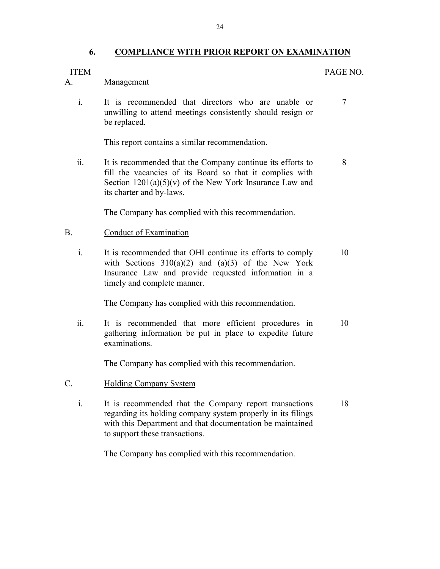### **6. COMPLIANCE WITH PRIOR REPORT ON EXAMINATION**

PAGE NO.

#### <span id="page-25-0"></span>**ITEM**

Management

A. <u>Management</u><br>
i. It is recommended that directors who are unable or 7 unwilling to attend meetings consistently should resign or be replaced.

This report contains a similar recommendation.

ii. It is recommended that the Company continue its efforts to 8 fill the vacancies of its Board so that it complies with Section  $1201(a)(5)(v)$  of the New York Insurance Law and its charter and by-laws.

The Company has complied with this recommendation.

#### Conduct of Examination

B. Conduct of Examination<br>i. It is recommended that OHI continue its efforts to comply 10 with Sections  $310(a)(2)$  and  $(a)(3)$  of the New York Insurance Law and provide requested information in a timely and complete manner.

The Company has complied with this recommendation.

ii. It is recommended that more efficient procedures in 10 gathering information be put in place to expedite future examinations.

The Company has complied with this recommendation.

- **Holding Company System**
- C. Holding Company System<br>
i. It is recommended that the Company report transactions 18 regarding its holding company system properly in its filings with this Department and that documentation be maintained to support these transactions.

The Company has complied with this recommendation.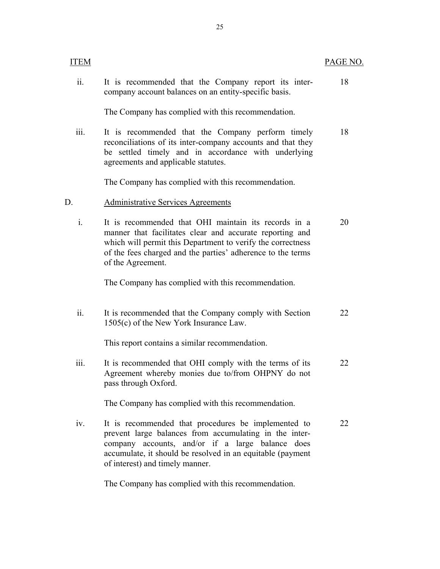| ΈM   |                                                                                                                                                                                                                                                                     | PAGE NO. |
|------|---------------------------------------------------------------------------------------------------------------------------------------------------------------------------------------------------------------------------------------------------------------------|----------|
| ii.  | It is recommended that the Company report its inter-<br>company account balances on an entity-specific basis.                                                                                                                                                       | 18       |
|      | The Company has complied with this recommendation.                                                                                                                                                                                                                  |          |
| iii. | It is recommended that the Company perform timely<br>reconciliations of its inter-company accounts and that they<br>be settled timely and in accordance with underlying<br>agreements and applicable statutes.                                                      | 18       |
|      | The Company has complied with this recommendation.                                                                                                                                                                                                                  |          |
| D.   | <b>Administrative Services Agreements</b>                                                                                                                                                                                                                           |          |
| i.   | It is recommended that OHI maintain its records in a<br>manner that facilitates clear and accurate reporting and<br>which will permit this Department to verify the correctness<br>of the fees charged and the parties' adherence to the terms<br>of the Agreement. | 20       |
|      | The Company has complied with this recommendation.                                                                                                                                                                                                                  |          |
| ii.  | It is recommended that the Company comply with Section<br>1505(c) of the New York Insurance Law.                                                                                                                                                                    | 22       |
|      | This report contains a similar recommendation.                                                                                                                                                                                                                      |          |
| 111. | It is recommended that OHI comply with the terms of its<br>Agreement whereby monies due to/from OHPNY do not<br>pass through Oxford.                                                                                                                                | 22       |
|      | The Company has complied with this recommendation.                                                                                                                                                                                                                  |          |
| iv.  | It is recommended that procedures be implemented to<br>prevent large balances from accumulating in the inter-<br>company accounts, and/or if a large balance does<br>accumulate, it should be resolved in an equitable (payment<br>of interest) and timely manner.  | 22       |
|      | The Company has complied with this recommendation.                                                                                                                                                                                                                  |          |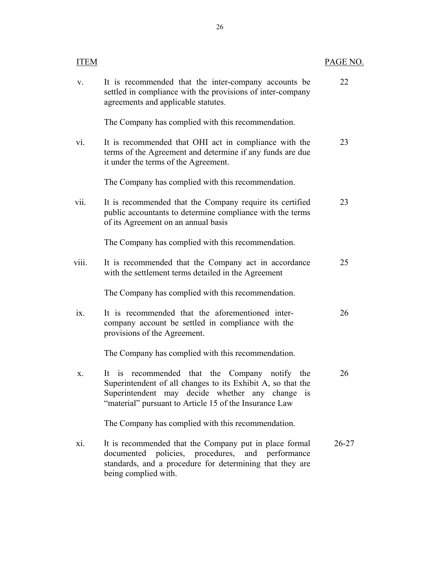| <b>ITEM</b>       |                                                                                                                                                                                                                                    | PAGE NO.  |
|-------------------|------------------------------------------------------------------------------------------------------------------------------------------------------------------------------------------------------------------------------------|-----------|
| V.                | It is recommended that the inter-company accounts be<br>settled in compliance with the provisions of inter-company<br>agreements and applicable statutes.                                                                          | 22        |
|                   | The Company has complied with this recommendation.                                                                                                                                                                                 |           |
| $\overline{vi}$ . | It is recommended that OHI act in compliance with the<br>terms of the Agreement and determine if any funds are due<br>it under the terms of the Agreement.                                                                         | 23        |
|                   | The Company has complied with this recommendation.                                                                                                                                                                                 |           |
| vii.              | It is recommended that the Company require its certified<br>public accountants to determine compliance with the terms<br>of its Agreement on an annual basis                                                                       | 23        |
|                   | The Company has complied with this recommendation.                                                                                                                                                                                 |           |
| viii.             | It is recommended that the Company act in accordance<br>with the settlement terms detailed in the Agreement                                                                                                                        | 25        |
|                   | The Company has complied with this recommendation.                                                                                                                                                                                 |           |
| ix.               | It is recommended that the aforementioned inter-<br>company account be settled in compliance with the<br>provisions of the Agreement.                                                                                              | 26        |
|                   | The Company has complied with this recommendation.                                                                                                                                                                                 |           |
| Χ.                | recommended that the<br>Company<br>notify the<br>It is<br>Superintendent of all changes to its Exhibit A, so that the<br>Superintendent may decide whether any change is<br>"material" pursuant to Article 15 of the Insurance Law | 26        |
|                   | The Company has complied with this recommendation.                                                                                                                                                                                 |           |
| X1.               | It is recommended that the Company put in place formal<br>documented policies, procedures, and performance<br>standards, and a procedure for determining that they are<br>being complied with.                                     | $26 - 27$ |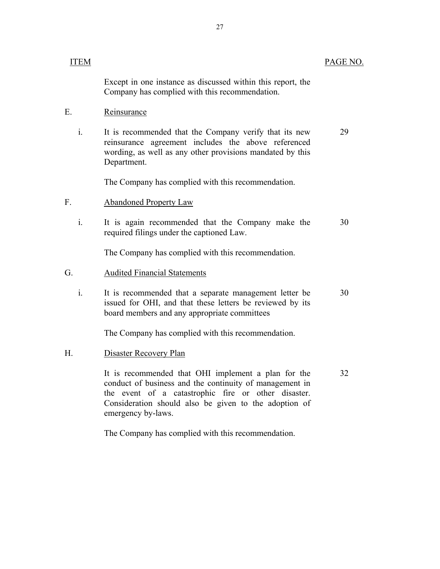| Except in one instance as discussed within this report, the<br>Company has complied with this recommendation.<br>Е.<br>Reinsurance<br>$\mathbf{i}$ .<br>It is recommended that the Company verify that its new<br>reinsurance agreement includes the above referenced<br>wording, as well as any other provisions mandated by this<br>Department.<br>The Company has complied with this recommendation.<br>F.<br><b>Abandoned Property Law</b><br>$\mathbf{i}$ .<br>It is again recommended that the Company make the<br>required filings under the captioned Law.<br>The Company has complied with this recommendation. |    |
|--------------------------------------------------------------------------------------------------------------------------------------------------------------------------------------------------------------------------------------------------------------------------------------------------------------------------------------------------------------------------------------------------------------------------------------------------------------------------------------------------------------------------------------------------------------------------------------------------------------------------|----|
|                                                                                                                                                                                                                                                                                                                                                                                                                                                                                                                                                                                                                          |    |
|                                                                                                                                                                                                                                                                                                                                                                                                                                                                                                                                                                                                                          |    |
|                                                                                                                                                                                                                                                                                                                                                                                                                                                                                                                                                                                                                          | 29 |
|                                                                                                                                                                                                                                                                                                                                                                                                                                                                                                                                                                                                                          |    |
|                                                                                                                                                                                                                                                                                                                                                                                                                                                                                                                                                                                                                          |    |
|                                                                                                                                                                                                                                                                                                                                                                                                                                                                                                                                                                                                                          | 30 |
|                                                                                                                                                                                                                                                                                                                                                                                                                                                                                                                                                                                                                          |    |
| G.<br><b>Audited Financial Statements</b>                                                                                                                                                                                                                                                                                                                                                                                                                                                                                                                                                                                |    |
| i.<br>It is recommended that a separate management letter be<br>issued for OHI, and that these letters be reviewed by its<br>board members and any appropriate committees                                                                                                                                                                                                                                                                                                                                                                                                                                                | 30 |
| The Company has complied with this recommendation.                                                                                                                                                                                                                                                                                                                                                                                                                                                                                                                                                                       |    |
| Н.<br><b>Disaster Recovery Plan</b>                                                                                                                                                                                                                                                                                                                                                                                                                                                                                                                                                                                      |    |
| It is recommended that OHI implement a plan for the<br>conduct of business and the continuity of management in<br>the event of a catastrophic fire or other disaster.<br>Consideration should also be given to the adoption of<br>emergency by-laws.                                                                                                                                                                                                                                                                                                                                                                     | 32 |

The Company has complied with this recommendation.

PAGE NO.

**ITEM**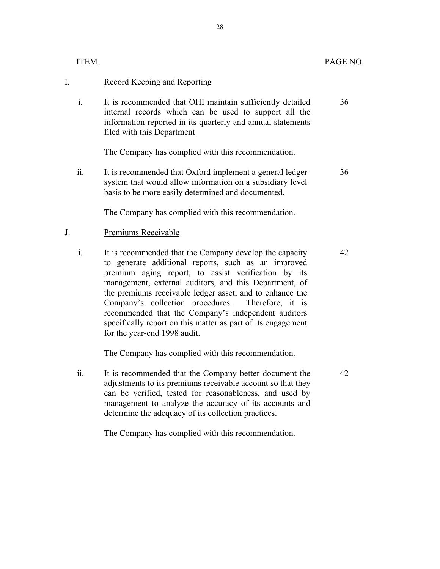|    | <b>ITEM</b>    |                                                                                                                                                                                                                                                                                                                                                                                                                                                                                                            | PAGE NO. |
|----|----------------|------------------------------------------------------------------------------------------------------------------------------------------------------------------------------------------------------------------------------------------------------------------------------------------------------------------------------------------------------------------------------------------------------------------------------------------------------------------------------------------------------------|----------|
| I. |                | Record Keeping and Reporting                                                                                                                                                                                                                                                                                                                                                                                                                                                                               |          |
|    | $\mathbf{i}$ . | It is recommended that OHI maintain sufficiently detailed<br>internal records which can be used to support all the<br>information reported in its quarterly and annual statements<br>filed with this Department                                                                                                                                                                                                                                                                                            | 36       |
|    |                | The Company has complied with this recommendation.                                                                                                                                                                                                                                                                                                                                                                                                                                                         |          |
|    | ii.            | It is recommended that Oxford implement a general ledger<br>system that would allow information on a subsidiary level<br>basis to be more easily determined and documented.                                                                                                                                                                                                                                                                                                                                | 36       |
|    |                | The Company has complied with this recommendation.                                                                                                                                                                                                                                                                                                                                                                                                                                                         |          |
| J. |                | Premiums Receivable                                                                                                                                                                                                                                                                                                                                                                                                                                                                                        |          |
|    | i.             | It is recommended that the Company develop the capacity<br>to generate additional reports, such as an improved<br>premium aging report, to assist verification by its<br>management, external auditors, and this Department, of<br>the premiums receivable ledger asset, and to enhance the<br>Company's collection procedures.<br>Therefore, it is<br>recommended that the Company's independent auditors<br>specifically report on this matter as part of its engagement<br>for the year-end 1998 audit. | 42       |
|    |                | The Company has complied with this recommendation.                                                                                                                                                                                                                                                                                                                                                                                                                                                         |          |
|    | ii.            | It is recommended that the Company better document the<br>adjustments to its premiums receivable account so that they<br>can be verified, tested for reasonableness, and used by<br>management to analyze the accuracy of its accounts and                                                                                                                                                                                                                                                                 | 42       |

The Company has complied with this recommendation.

determine the adequacy of its collection practices.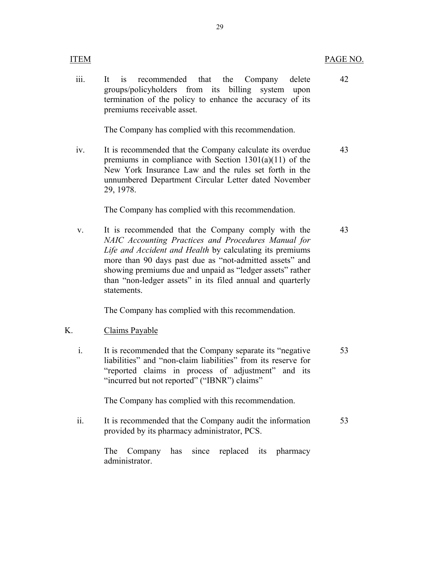#### PAGE NO.

42

- **ITEM** 
	- iii. It is recommended that the Company delete groups/policyholders from its billing system upon termination of the policy to enhance the accuracy of its premiums receivable asset.

The Company has complied with this recommendation.

iv. It is recommended that the Company calculate its overdue premiums in compliance with Section  $1301(a)(11)$  of the New York Insurance Law and the rules set forth in the unnumbered Department Circular Letter dated November 29, 1978. 43

The Company has complied with this recommendation.

v. It is recommended that the Company comply with the *NAIC Accounting Practices and Procedures Manual for Life and Accident and Health* by calculating its premiums more than 90 days past due as "not-admitted assets" and showing premiums due and unpaid as "ledger assets" rather than "non-ledger assets" in its filed annual and quarterly statements. 43

The Company has complied with this recommendation.

### Claims Payable

K. Claims Payable<br>i. It is recommended that the Company separate its "negative" liabilities" and "non-claim liabilities" from its reserve for "reported claims in process of adjustment" and its "incurred but not reported" ("IBNR") claims" 53

The Company has complied with this recommendation.

ii. It is recommended that the Company audit the information provided by its pharmacy administrator, PCS. 53

> The Company administrator. has since replaced its pharmacy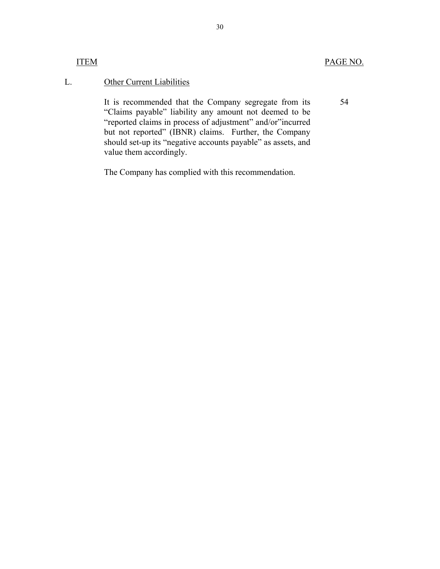#### **ITEM**

54

## Other Current Liabilities

L. Other Current Liabilities<br>It is recommended that the Company segregate from its "Claims payable" liability any amount not deemed to be "reported claims in process of adjustment" and/or"incurred but not reported" (IBNR) claims. Further, the Company should set-up its "negative accounts payable" as assets, and value them accordingly.

The Company has complied with this recommendation.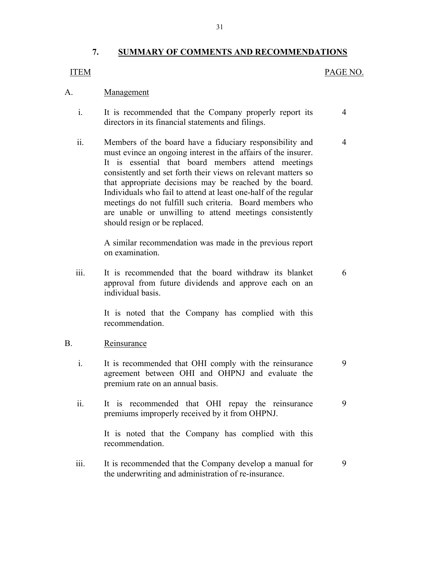## **7. SUMMARY OF COMMENTS AND RECOMMENDATIONS**

#### **ITEM**

#### PAGE NO.

4

6

9

#### Management

- A. <u>Management</u><br>i. It is recommended that the Company properly report its directors in its financial statements and filings. 4
	- ii. Members of the board have a fiduciary responsibility and must evince an ongoing interest in the affairs of the insurer. It is essential that board members attend meetings consistently and set forth their views on relevant matters so that appropriate decisions may be reached by the board. Individuals who fail to attend at least one-half of the regular meetings do not fulfill such criteria. Board members who are unable or unwilling to attend meetings consistently should resign or be replaced.

A similar recommendation was made in the previous report on examination.

iii. It is recommended that the board withdraw its blanket approval from future dividends and approve each on an individual basis.

> It is noted that the Company has complied with this recommendation.

#### B. Reinsurance

- i. It is recommended that OHI comply with the reinsurance agreement between OHI and OHPNJ and evaluate the premium rate on an annual basis. 9
- ii. It is recommended that OHI repay the reinsurance premiums improperly received by it from OHPNJ.

It is noted that the Company has complied with this recommendation.

iii. It is recommended that the Company develop a manual for the underwriting and administration of re-insurance. 9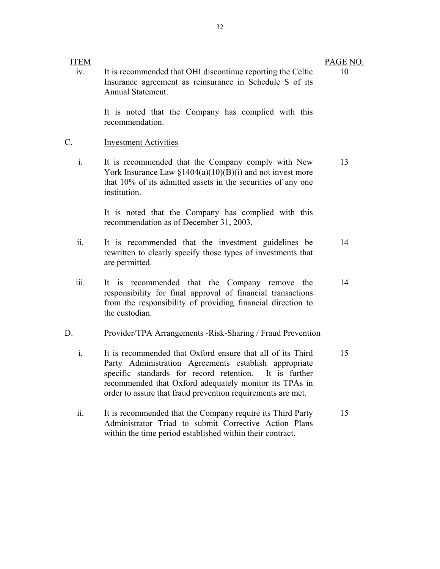#### **ITEM**

iv. It is recommended that OHI discontinue reporting the Celtic Insurance agreement as reinsurance in Schedule S of its Annual Statement.

> It is noted that the Company has complied with this recommendation.

#### **Investment Activities**

C. Investment Activities<br>i. It is recommended that the Company comply with New York Insurance Law  $\frac{1404(a)(10)(B)(i)}{I}$  and not invest more that 10% of its admitted assets in the securities of any one institution. 13

> It is noted that the Company has complied with this recommendation as of December 31, 2003.

- ii. It is recommended that the investment guidelines be rewritten to clearly specify those types of investments that are permitted. 14
- iii. It is recommended that the Company remove the responsibility for final approval of financial transactions from the responsibility of providing financial direction to the custodian. 14

- D. Provider/TPA Arrangements -Risk-Sharing / Fraud Prevention<br>i. It is recommended that Oxford ensure that all of its Third Party Administration Agreements establish appropriate specific standards for record retention. It is further recommended that Oxford adequately monitor its TPAs in order to assure that fraud prevention requirements are met. 15
	- ii. It is recommended that the Company require its Third Party Administrator Triad to submit Corrective Action Plans within the time period established within their contract. 15

10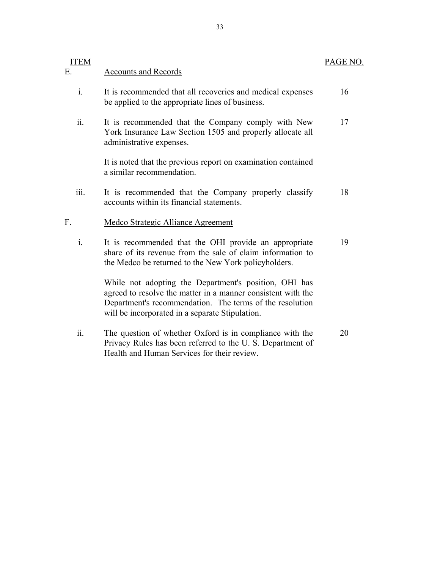| <b>ITEM</b>            |                                                                                                                                                                                                                                      | PAGE NO. |
|------------------------|--------------------------------------------------------------------------------------------------------------------------------------------------------------------------------------------------------------------------------------|----------|
| Е.                     | <b>Accounts and Records</b>                                                                                                                                                                                                          |          |
| $\mathbf{i}$ .         | It is recommended that all recoveries and medical expenses<br>be applied to the appropriate lines of business.                                                                                                                       | 16       |
| ii.                    | It is recommended that the Company comply with New<br>York Insurance Law Section 1505 and properly allocate all<br>administrative expenses.                                                                                          | 17       |
|                        | It is noted that the previous report on examination contained<br>a similar recommendation.                                                                                                                                           |          |
| iii.                   | It is recommended that the Company properly classify<br>accounts within its financial statements.                                                                                                                                    | 18       |
| F.                     | <b>Medco Strategic Alliance Agreement</b>                                                                                                                                                                                            |          |
| $\mathbf{i}$ .         | It is recommended that the OHI provide an appropriate<br>share of its revenue from the sale of claim information to<br>the Medco be returned to the New York policyholders.                                                          | 19       |
|                        | While not adopting the Department's position, OHI has<br>agreed to resolve the matter in a manner consistent with the<br>Department's recommendation. The terms of the resolution<br>will be incorporated in a separate Stipulation. |          |
| $\dddot{\mathbf{i}}$ . | The question of whether Oxford is in compliance with the<br>Privacy Rules has been referred to the U.S. Department of<br>Health and Human Services for their review.                                                                 | 20       |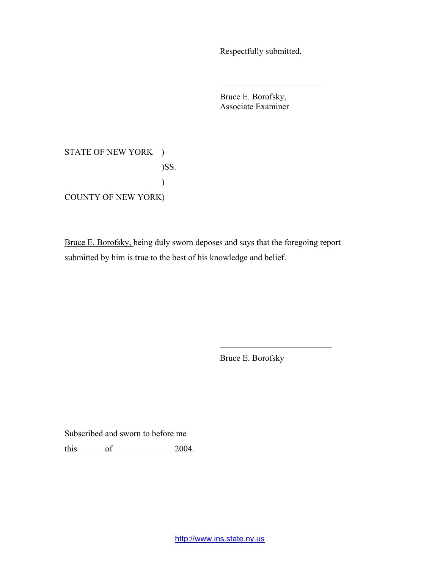Respectfully submitted,

 $\mathcal{L}_\text{max}$  , where  $\mathcal{L}_\text{max}$  , we have the set of  $\mathcal{L}_\text{max}$ 

Bruce E. Borofsky, Associate Examiner

STATE OF NEW YORK ) )SS. ) COUNTY OF NEW YORK)

Bruce E. Borofsky, being duly sworn deposes and says that the foregoing report submitted by him is true to the best of his knowledge and belief.

Bruce E. Borofsky

 $\mathcal{L}_\text{max}$  , where  $\mathcal{L}_\text{max}$  and  $\mathcal{L}_\text{max}$ 

Subscribed and sworn to before me

this \_\_\_\_\_ of \_\_\_\_\_\_\_\_\_\_\_\_\_ 2004.